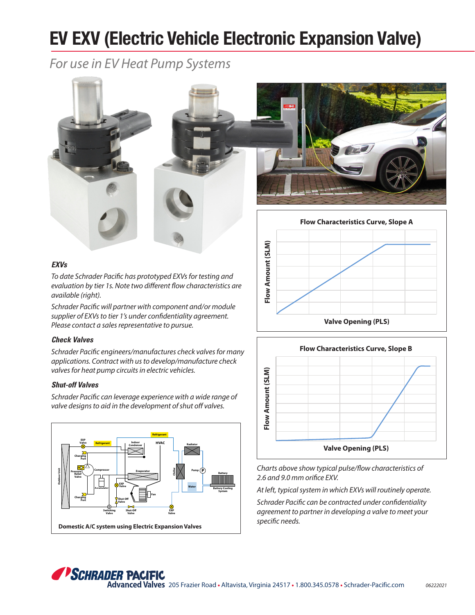# **EV EXV (Electric Vehicle Electronic Expansion Valve)**

*For use in EV Heat Pump Systems*



### **EXVs**

*To date Schrader Pacific has prototyped EXVs for testing and evaluation by tier 1s. Note two different flow characteristics are available (right).*

*Schrader Pacific will partner with component and/or module supplier of EXVs to tier 1's under confidentiality agreement. Please contact a sales representative to pursue.*

#### **Check Valves**

*Schrader Pacific engineers/manufactures check valves for many applications. Contract with us to develop/manufacture check valves for heat pump circuits in electric vehicles.*

#### **Shut-off Valves**

*Schrader Pacific can leverage experience with a wide range of valve designs to aid in the development of shut off valves.* 







*Charts above show typical pulse/flow characteristics of 2.6 and 9.0 mm orifice EXV.*

*At left, typical system in which EXVs will routinely operate.*

*Schrader Pacific can be contracted under confidentiality agreement to partner in developing a valve to meet your specific needs.*